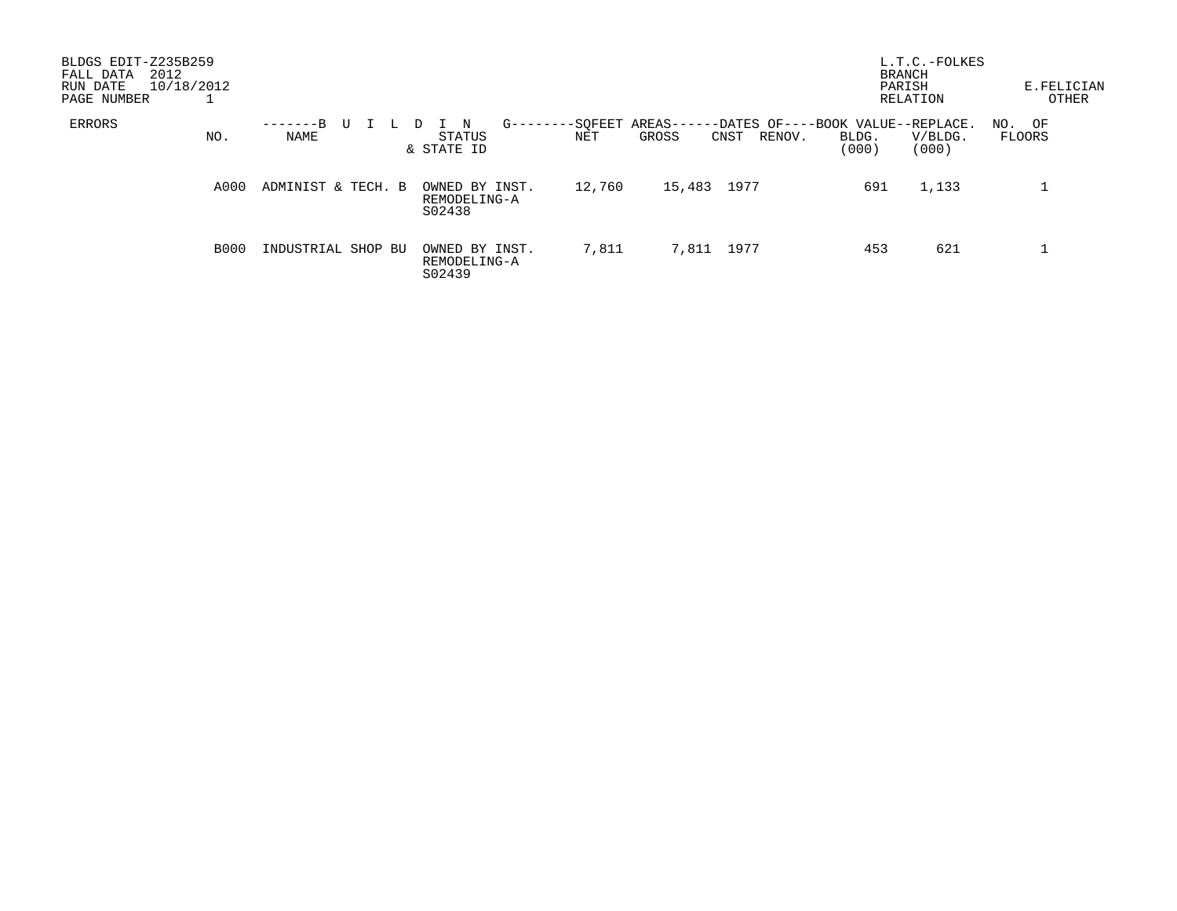| BLDGS EDIT-Z235B259<br>2012<br>FALL DATA<br>10/18/2012<br>RUN DATE<br>PAGE NUMBER |             |                    |  |                                          |           |                       |       |             |                                             | <b>BRANCH</b><br>PARISH | L.T.C.-FOLKES<br>RELATION | E.FELICIAN       | OTHER |
|-----------------------------------------------------------------------------------|-------------|--------------------|--|------------------------------------------|-----------|-----------------------|-------|-------------|---------------------------------------------|-------------------------|---------------------------|------------------|-------|
| ERRORS                                                                            | NO.         | $-R$<br>NAME       |  | N<br>STATUS<br>& STATE ID                | $G$ ----- | -SQFEET AREAS-<br>NET | GROSS | CNST        | -DATES OF----BOOK VALUE--REPLACE.<br>RENOV. | BLDG.<br>(000)          | V/BLDG.<br>(000)          | NO. OF<br>FLOORS |       |
|                                                                                   | A000        | ADMINIST & TECH. B |  | OWNED BY INST.<br>REMODELING-A<br>S02438 |           | 12,760                |       | 15,483 1977 |                                             | 691                     | 1,133                     |                  |       |
|                                                                                   | <b>B000</b> | INDUSTRIAL SHOP BU |  | OWNED BY INST.<br>REMODELING-A<br>S02439 |           | 7,811                 |       | 7,811 1977  |                                             | 453                     | 621                       |                  |       |